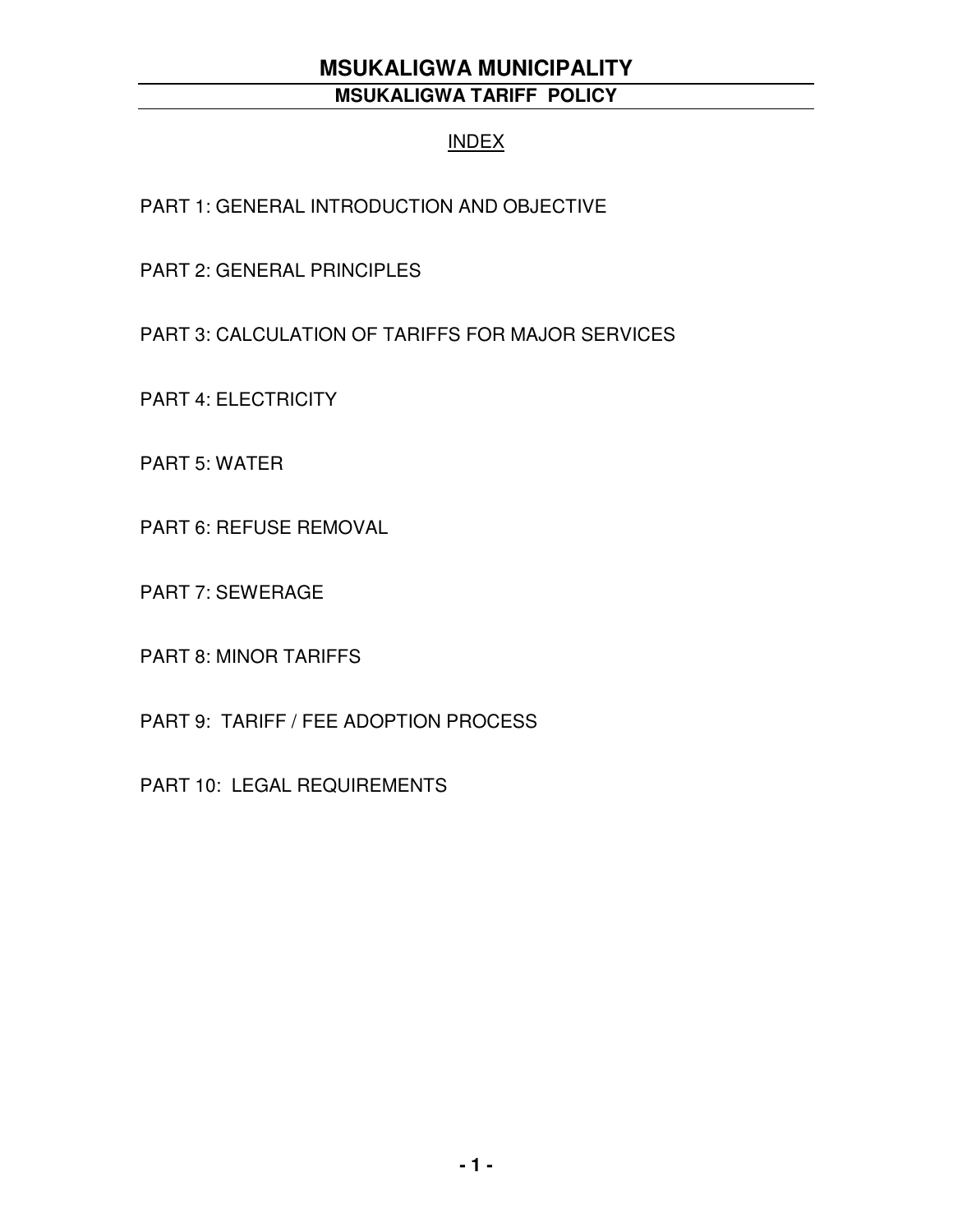#### INDEX

PART 1: GENERAL INTRODUCTION AND OBJECTIVE

PART 2: GENERAL PRINCIPLES

PART 3: CALCULATION OF TARIFFS FOR MAJOR SERVICES

PART 4: ELECTRICITY

PART 5: WATER

PART 6: REFUSE REMOVAL

PART 7: SEWERAGE

PART 8: MINOR TARIFFS

PART 9: TARIFF / FEE ADOPTION PROCESS

PART 10: LEGAL REQUIREMENTS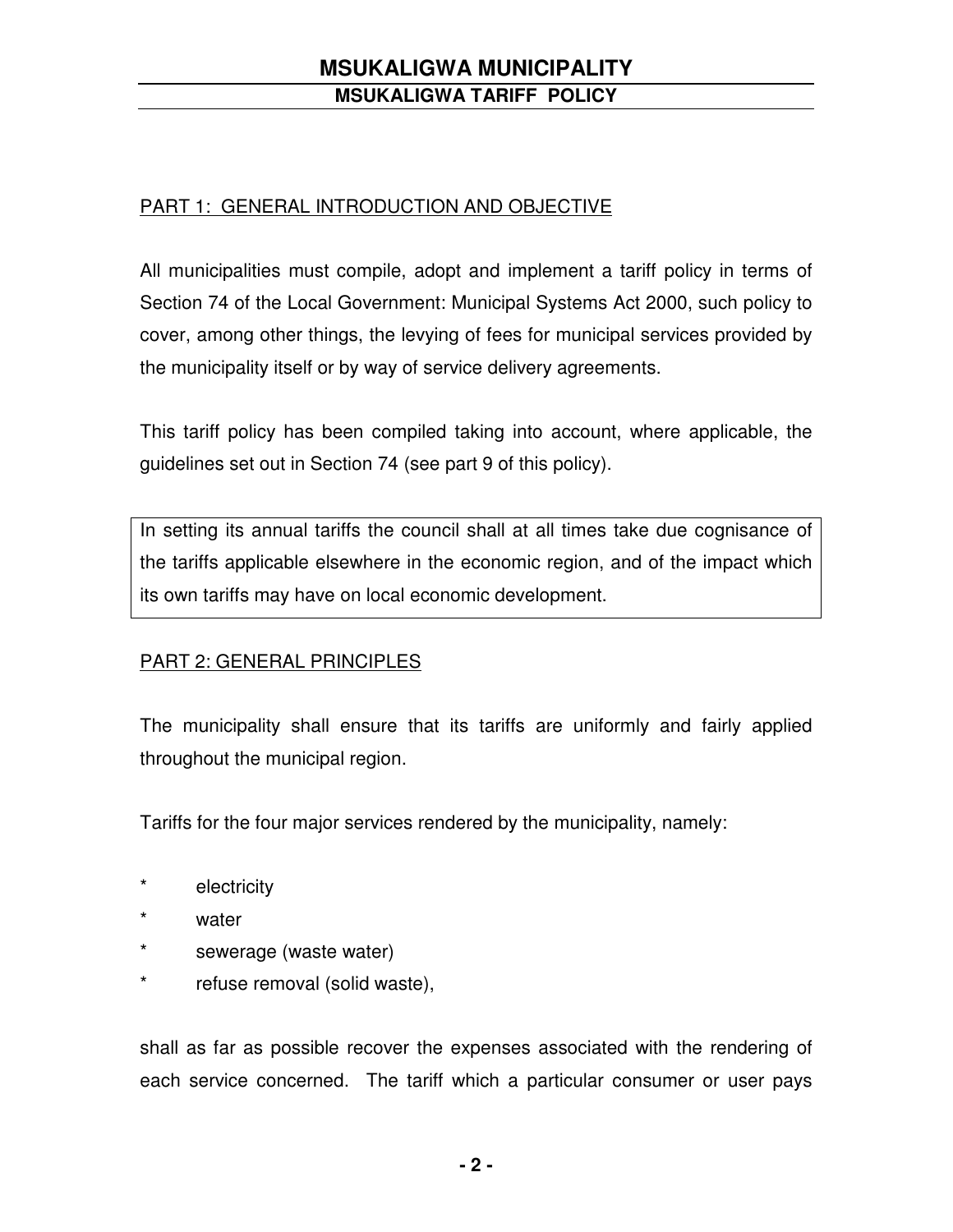### PART 1: GENERAL INTRODUCTION AND OBJECTIVE

All municipalities must compile, adopt and implement a tariff policy in terms of Section 74 of the Local Government: Municipal Systems Act 2000, such policy to cover, among other things, the levying of fees for municipal services provided by the municipality itself or by way of service delivery agreements.

This tariff policy has been compiled taking into account, where applicable, the guidelines set out in Section 74 (see part 9 of this policy).

In setting its annual tariffs the council shall at all times take due cognisance of the tariffs applicable elsewhere in the economic region, and of the impact which its own tariffs may have on local economic development.

### PART 2: GENERAL PRINCIPLES

The municipality shall ensure that its tariffs are uniformly and fairly applied throughout the municipal region.

Tariffs for the four major services rendered by the municipality, namely:

- \* electricity
- \* water
- \* sewerage (waste water)
- \* refuse removal (solid waste),

shall as far as possible recover the expenses associated with the rendering of each service concerned. The tariff which a particular consumer or user pays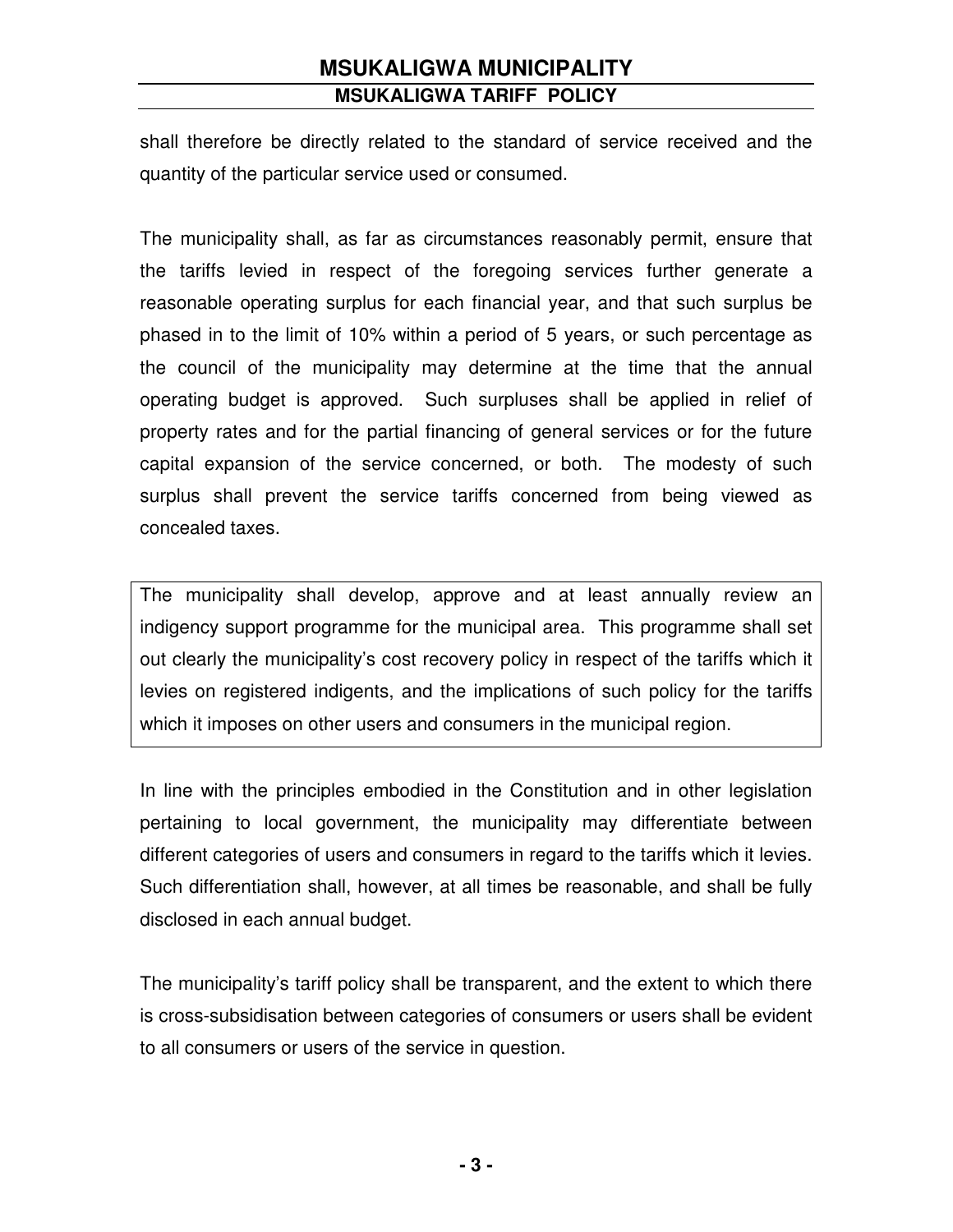shall therefore be directly related to the standard of service received and the quantity of the particular service used or consumed.

The municipality shall, as far as circumstances reasonably permit, ensure that the tariffs levied in respect of the foregoing services further generate a reasonable operating surplus for each financial year, and that such surplus be phased in to the limit of 10% within a period of 5 years, or such percentage as the council of the municipality may determine at the time that the annual operating budget is approved. Such surpluses shall be applied in relief of property rates and for the partial financing of general services or for the future capital expansion of the service concerned, or both. The modesty of such surplus shall prevent the service tariffs concerned from being viewed as concealed taxes.

The municipality shall develop, approve and at least annually review an indigency support programme for the municipal area. This programme shall set out clearly the municipality's cost recovery policy in respect of the tariffs which it levies on registered indigents, and the implications of such policy for the tariffs which it imposes on other users and consumers in the municipal region.

In line with the principles embodied in the Constitution and in other legislation pertaining to local government, the municipality may differentiate between different categories of users and consumers in regard to the tariffs which it levies. Such differentiation shall, however, at all times be reasonable, and shall be fully disclosed in each annual budget.

The municipality's tariff policy shall be transparent, and the extent to which there is cross-subsidisation between categories of consumers or users shall be evident to all consumers or users of the service in question.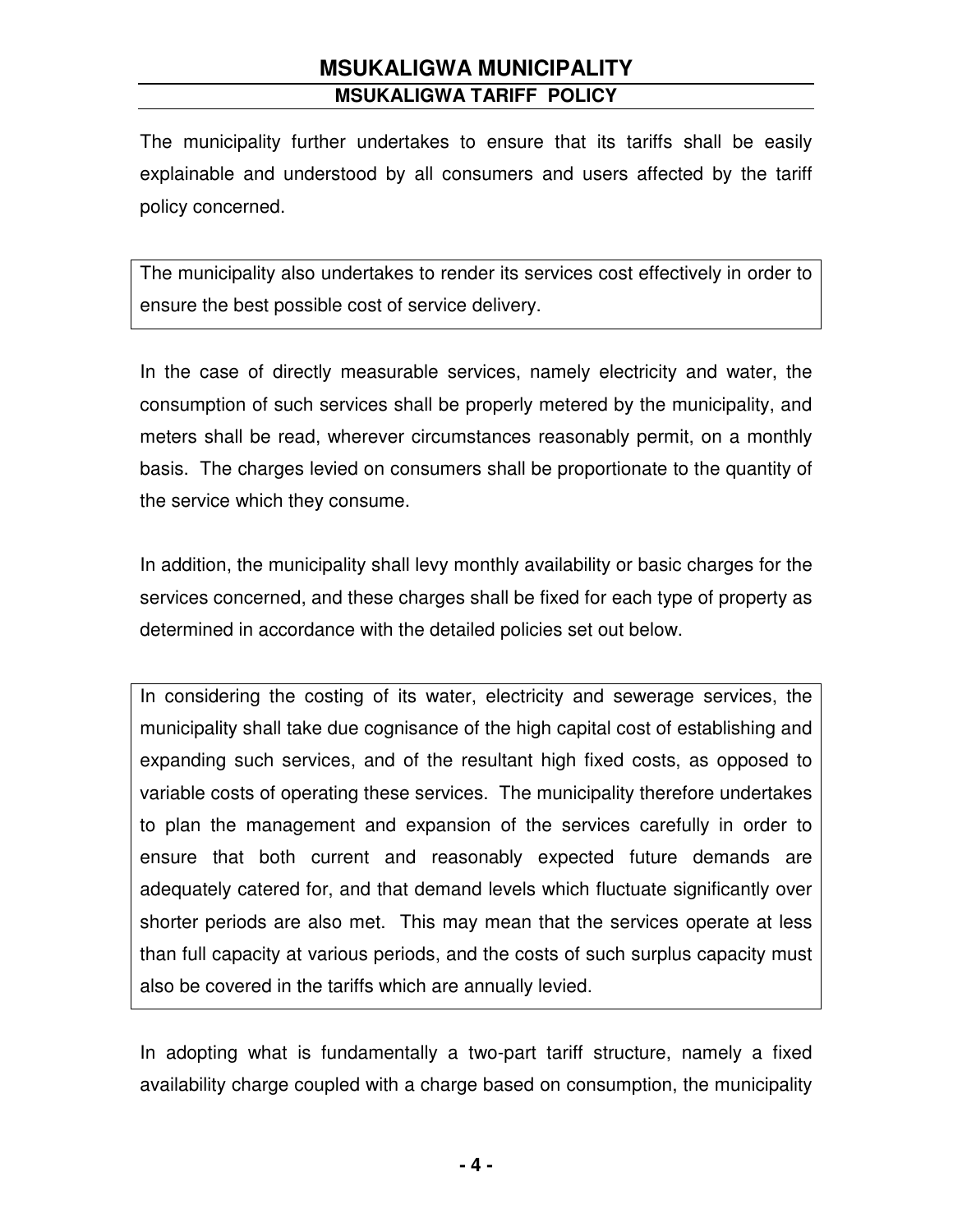The municipality further undertakes to ensure that its tariffs shall be easily explainable and understood by all consumers and users affected by the tariff policy concerned.

The municipality also undertakes to render its services cost effectively in order to ensure the best possible cost of service delivery.

In the case of directly measurable services, namely electricity and water, the consumption of such services shall be properly metered by the municipality, and meters shall be read, wherever circumstances reasonably permit, on a monthly basis. The charges levied on consumers shall be proportionate to the quantity of the service which they consume.

In addition, the municipality shall levy monthly availability or basic charges for the services concerned, and these charges shall be fixed for each type of property as determined in accordance with the detailed policies set out below.

In considering the costing of its water, electricity and sewerage services, the municipality shall take due cognisance of the high capital cost of establishing and expanding such services, and of the resultant high fixed costs, as opposed to variable costs of operating these services. The municipality therefore undertakes to plan the management and expansion of the services carefully in order to ensure that both current and reasonably expected future demands are adequately catered for, and that demand levels which fluctuate significantly over shorter periods are also met. This may mean that the services operate at less than full capacity at various periods, and the costs of such surplus capacity must also be covered in the tariffs which are annually levied.

In adopting what is fundamentally a two-part tariff structure, namely a fixed availability charge coupled with a charge based on consumption, the municipality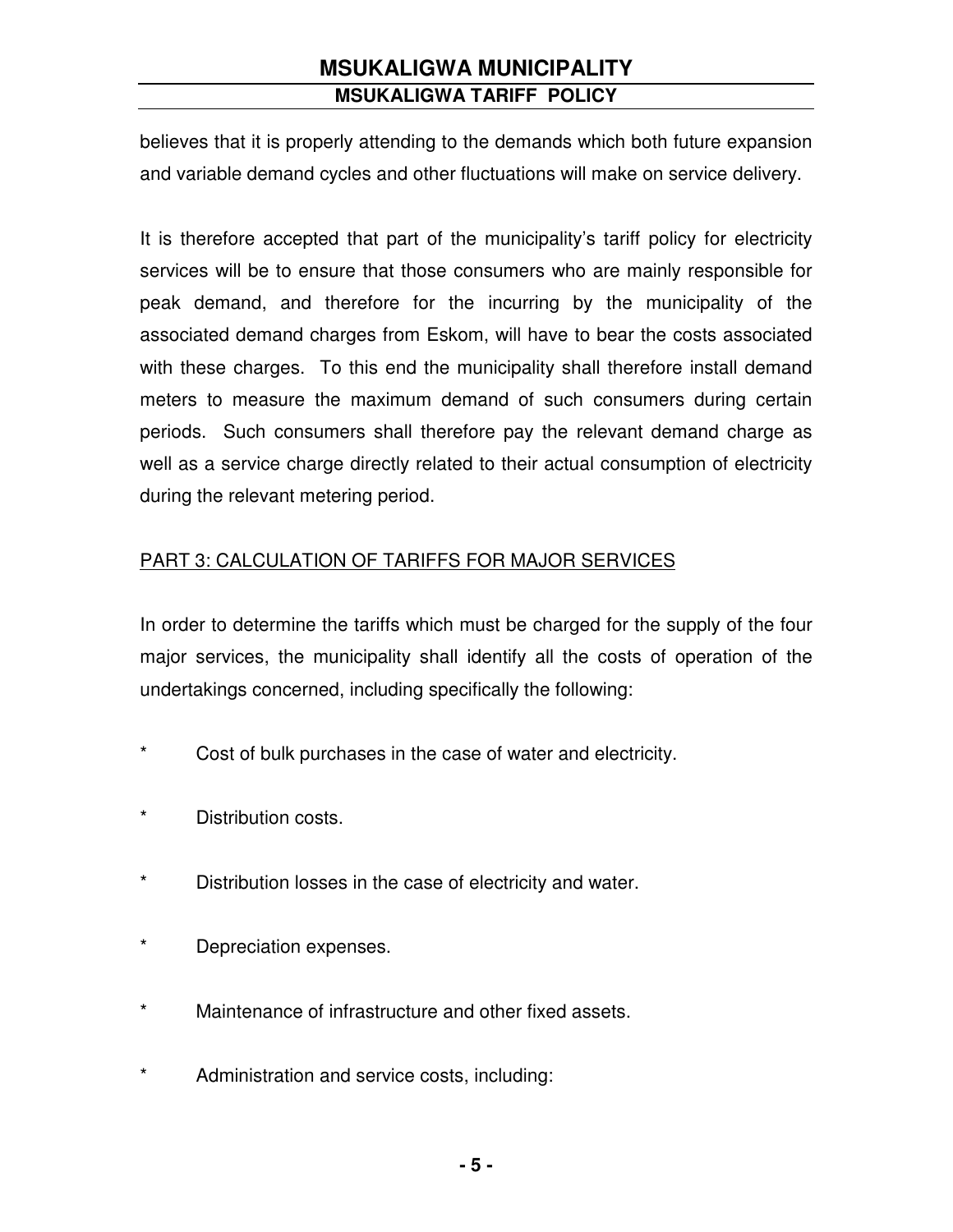believes that it is properly attending to the demands which both future expansion and variable demand cycles and other fluctuations will make on service delivery.

It is therefore accepted that part of the municipality's tariff policy for electricity services will be to ensure that those consumers who are mainly responsible for peak demand, and therefore for the incurring by the municipality of the associated demand charges from Eskom, will have to bear the costs associated with these charges. To this end the municipality shall therefore install demand meters to measure the maximum demand of such consumers during certain periods. Such consumers shall therefore pay the relevant demand charge as well as a service charge directly related to their actual consumption of electricity during the relevant metering period.

### PART 3: CALCULATION OF TARIFFS FOR MAJOR SERVICES

In order to determine the tariffs which must be charged for the supply of the four major services, the municipality shall identify all the costs of operation of the undertakings concerned, including specifically the following:

- \* Cost of bulk purchases in the case of water and electricity.
- \* Distribution costs.
- \* Distribution losses in the case of electricity and water.
- \* Depreciation expenses.
- \* Maintenance of infrastructure and other fixed assets.
- \* Administration and service costs, including: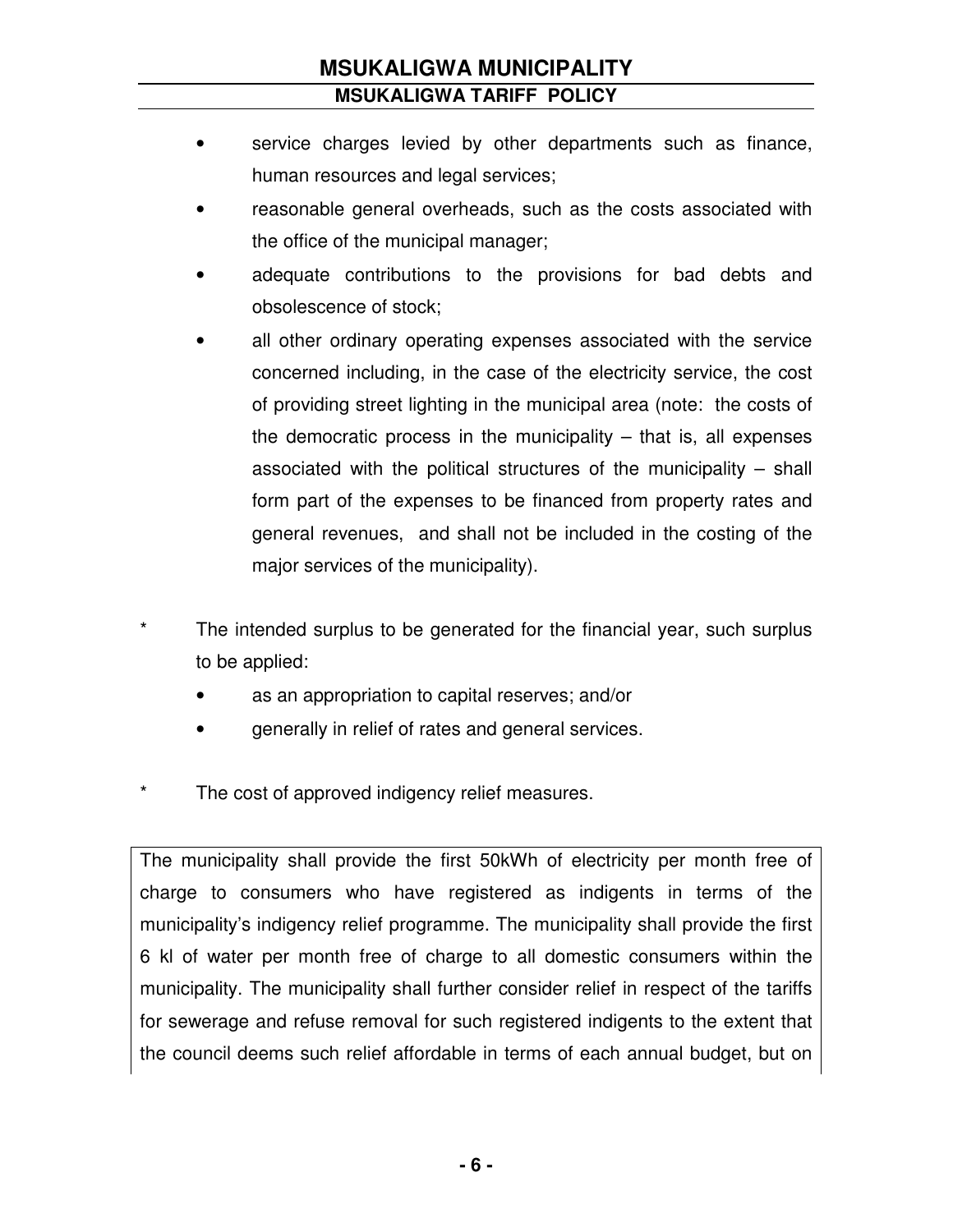- service charges levied by other departments such as finance, human resources and legal services;
- reasonable general overheads, such as the costs associated with the office of the municipal manager;
- adequate contributions to the provisions for bad debts and obsolescence of stock;
- all other ordinary operating expenses associated with the service concerned including, in the case of the electricity service, the cost of providing street lighting in the municipal area (note: the costs of the democratic process in the municipality – that is, all expenses associated with the political structures of the municipality – shall form part of the expenses to be financed from property rates and general revenues, and shall not be included in the costing of the major services of the municipality).
- The intended surplus to be generated for the financial year, such surplus to be applied:
	- as an appropriation to capital reserves; and/or
	- generally in relief of rates and general services.
- The cost of approved indigency relief measures.

The municipality shall provide the first 50kWh of electricity per month free of charge to consumers who have registered as indigents in terms of the municipality's indigency relief programme. The municipality shall provide the first 6 kl of water per month free of charge to all domestic consumers within the municipality. The municipality shall further consider relief in respect of the tariffs for sewerage and refuse removal for such registered indigents to the extent that the council deems such relief affordable in terms of each annual budget, but on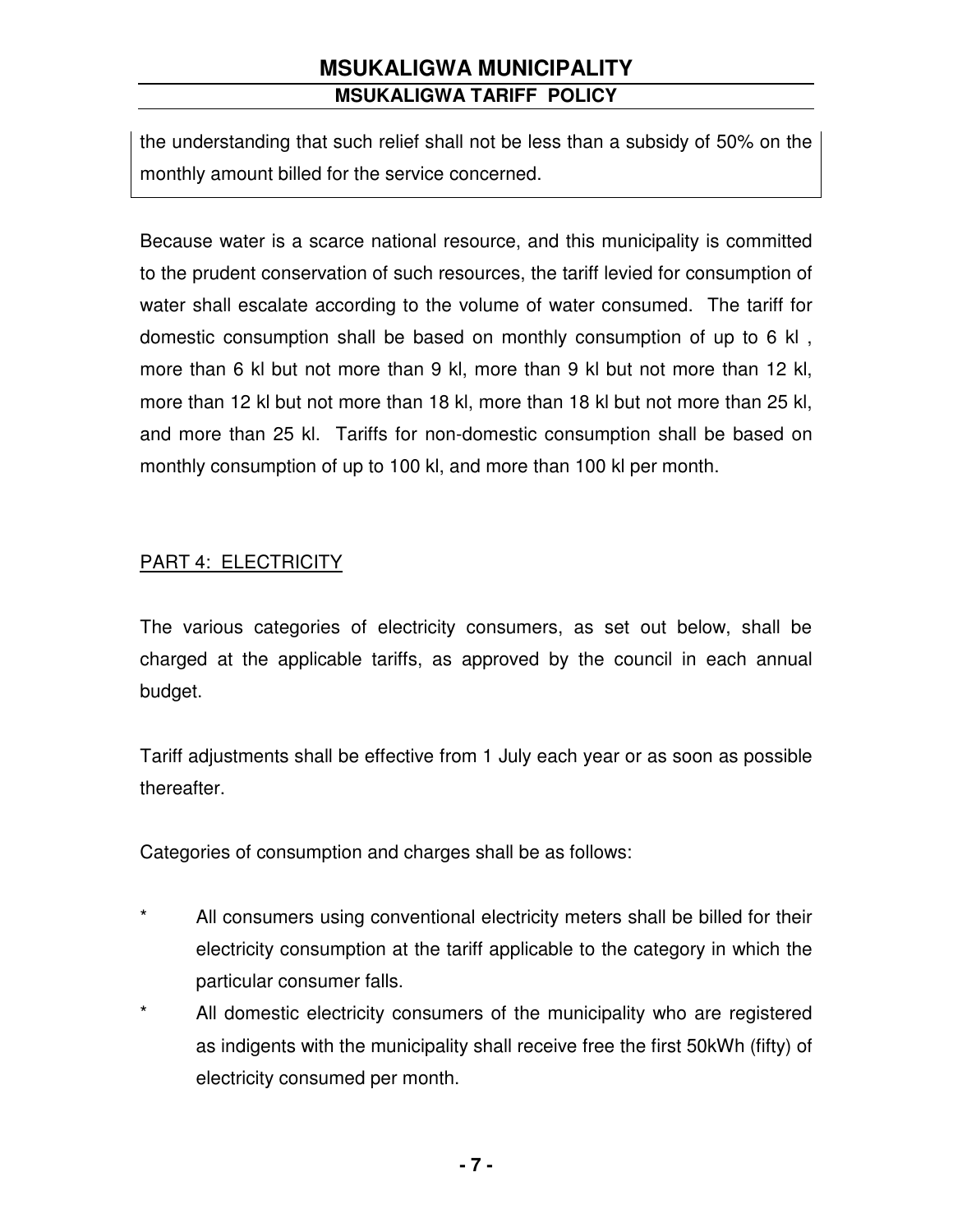the understanding that such relief shall not be less than a subsidy of 50% on the monthly amount billed for the service concerned.

Because water is a scarce national resource, and this municipality is committed to the prudent conservation of such resources, the tariff levied for consumption of water shall escalate according to the volume of water consumed. The tariff for domestic consumption shall be based on monthly consumption of up to 6 kl , more than 6 kl but not more than 9 kl, more than 9 kl but not more than 12 kl, more than 12 kl but not more than 18 kl, more than 18 kl but not more than 25 kl, and more than 25 kl. Tariffs for non-domestic consumption shall be based on monthly consumption of up to 100 kl, and more than 100 kl per month.

### PART 4: ELECTRICITY

The various categories of electricity consumers, as set out below, shall be charged at the applicable tariffs, as approved by the council in each annual budget.

Tariff adjustments shall be effective from 1 July each year or as soon as possible thereafter.

Categories of consumption and charges shall be as follows:

- \* All consumers using conventional electricity meters shall be billed for their electricity consumption at the tariff applicable to the category in which the particular consumer falls.
- \* All domestic electricity consumers of the municipality who are registered as indigents with the municipality shall receive free the first 50kWh (fifty) of electricity consumed per month.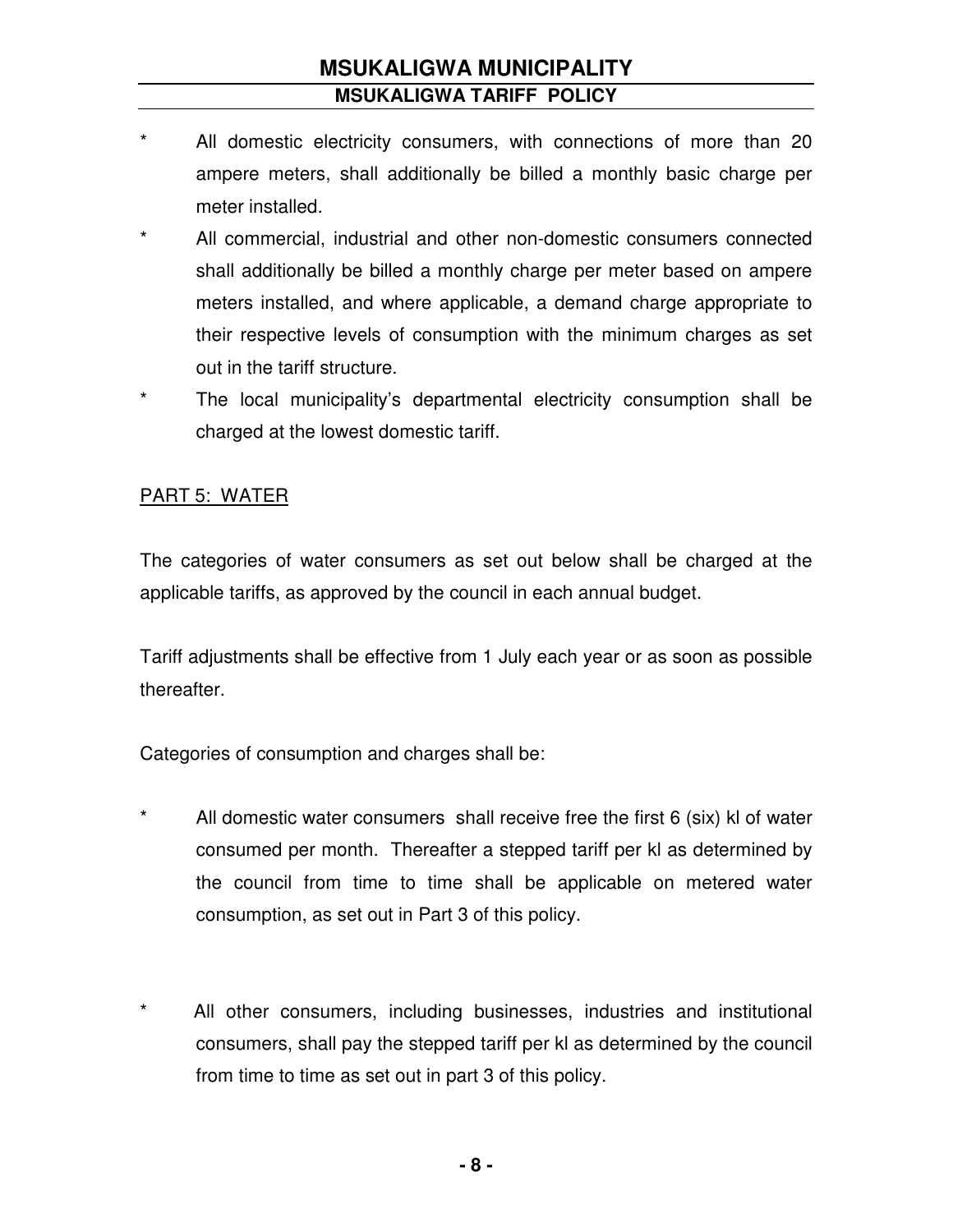- All domestic electricity consumers, with connections of more than 20 ampere meters, shall additionally be billed a monthly basic charge per meter installed.
- \* All commercial, industrial and other non-domestic consumers connected shall additionally be billed a monthly charge per meter based on ampere meters installed, and where applicable, a demand charge appropriate to their respective levels of consumption with the minimum charges as set out in the tariff structure.
- \* The local municipality's departmental electricity consumption shall be charged at the lowest domestic tariff.

#### PART 5: WATER

The categories of water consumers as set out below shall be charged at the applicable tariffs, as approved by the council in each annual budget.

Tariff adjustments shall be effective from 1 July each year or as soon as possible thereafter.

Categories of consumption and charges shall be:

- \* All domestic water consumers shall receive free the first 6 (six) kl of water consumed per month. Thereafter a stepped tariff per kl as determined by the council from time to time shall be applicable on metered water consumption, as set out in Part 3 of this policy.
- \* All other consumers, including businesses, industries and institutional consumers, shall pay the stepped tariff per kl as determined by the council from time to time as set out in part 3 of this policy.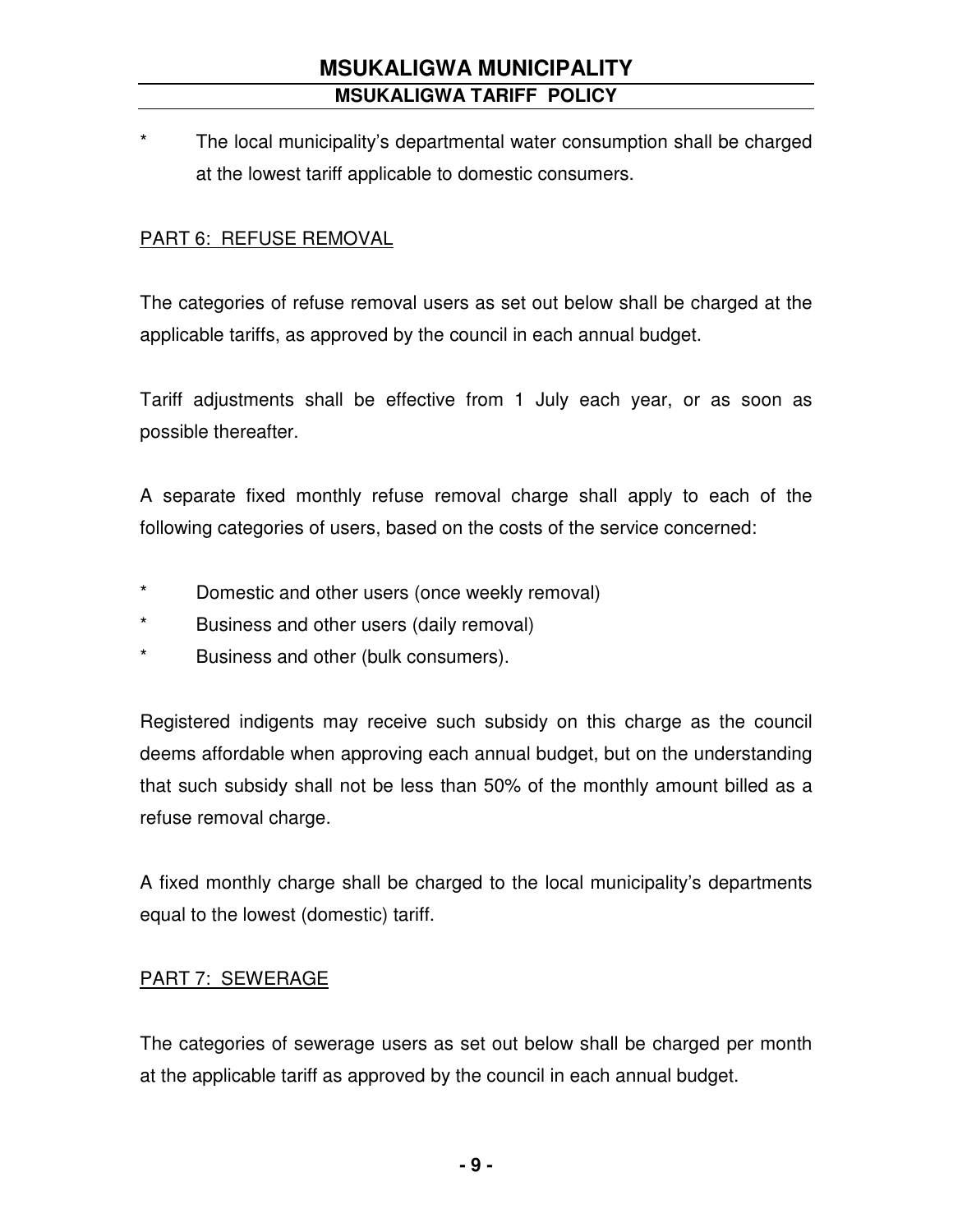The local municipality's departmental water consumption shall be charged at the lowest tariff applicable to domestic consumers.

#### PART 6: REFUSE REMOVAL

The categories of refuse removal users as set out below shall be charged at the applicable tariffs, as approved by the council in each annual budget.

Tariff adjustments shall be effective from 1 July each year, or as soon as possible thereafter.

A separate fixed monthly refuse removal charge shall apply to each of the following categories of users, based on the costs of the service concerned:

- \* Domestic and other users (once weekly removal)
- \* Business and other users (daily removal)
- \* Business and other (bulk consumers).

Registered indigents may receive such subsidy on this charge as the council deems affordable when approving each annual budget, but on the understanding that such subsidy shall not be less than 50% of the monthly amount billed as a refuse removal charge.

A fixed monthly charge shall be charged to the local municipality's departments equal to the lowest (domestic) tariff.

#### PART 7: SEWERAGE

The categories of sewerage users as set out below shall be charged per month at the applicable tariff as approved by the council in each annual budget.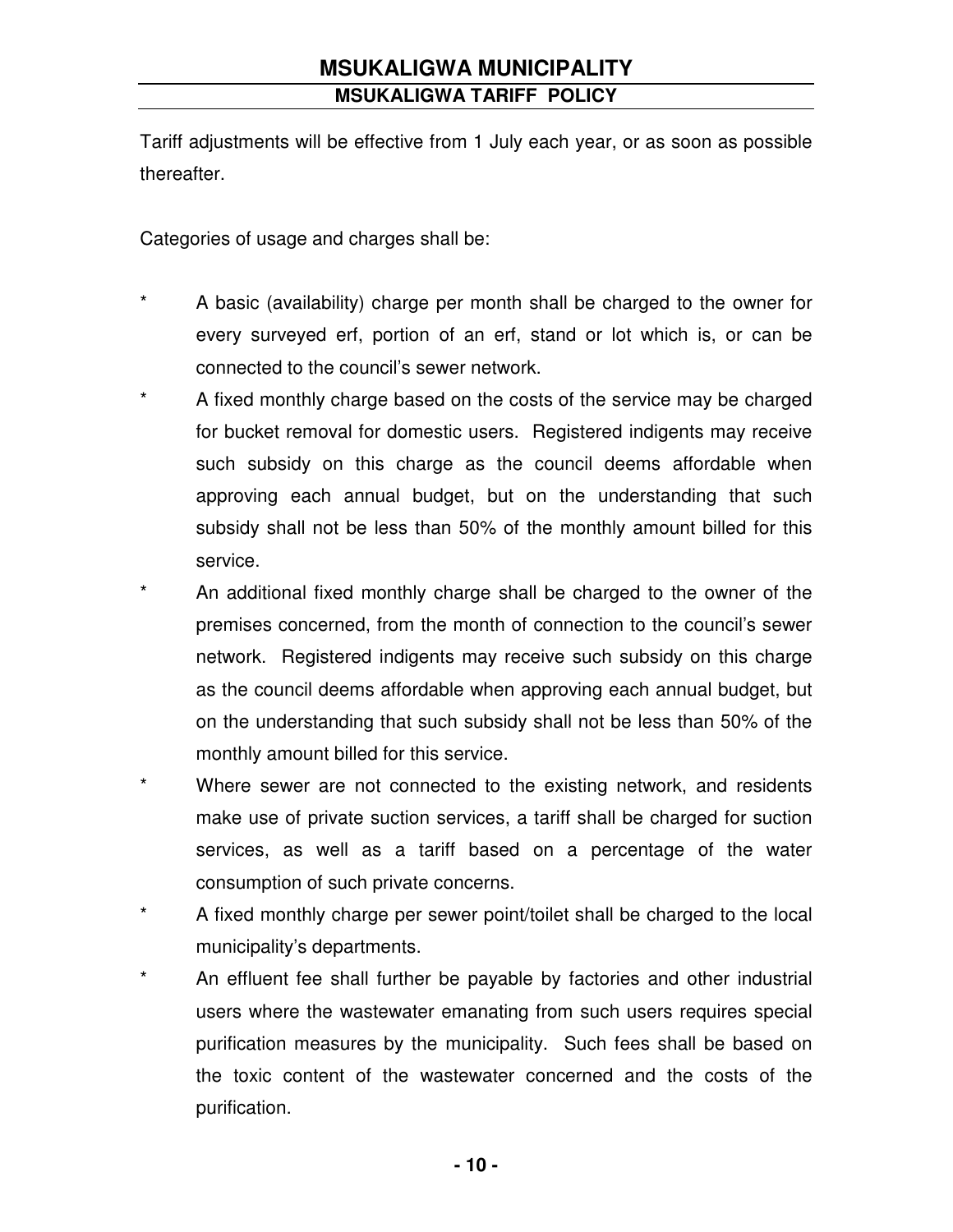Tariff adjustments will be effective from 1 July each year, or as soon as possible thereafter.

Categories of usage and charges shall be:

- A basic (availability) charge per month shall be charged to the owner for every surveyed erf, portion of an erf, stand or lot which is, or can be connected to the council's sewer network.
- \* A fixed monthly charge based on the costs of the service may be charged for bucket removal for domestic users. Registered indigents may receive such subsidy on this charge as the council deems affordable when approving each annual budget, but on the understanding that such subsidy shall not be less than 50% of the monthly amount billed for this service.
- \* An additional fixed monthly charge shall be charged to the owner of the premises concerned, from the month of connection to the council's sewer network. Registered indigents may receive such subsidy on this charge as the council deems affordable when approving each annual budget, but on the understanding that such subsidy shall not be less than 50% of the monthly amount billed for this service.
- \* Where sewer are not connected to the existing network, and residents make use of private suction services, a tariff shall be charged for suction services, as well as a tariff based on a percentage of the water consumption of such private concerns.
- \* A fixed monthly charge per sewer point/toilet shall be charged to the local municipality's departments.
- \* An effluent fee shall further be payable by factories and other industrial users where the wastewater emanating from such users requires special purification measures by the municipality. Such fees shall be based on the toxic content of the wastewater concerned and the costs of the purification.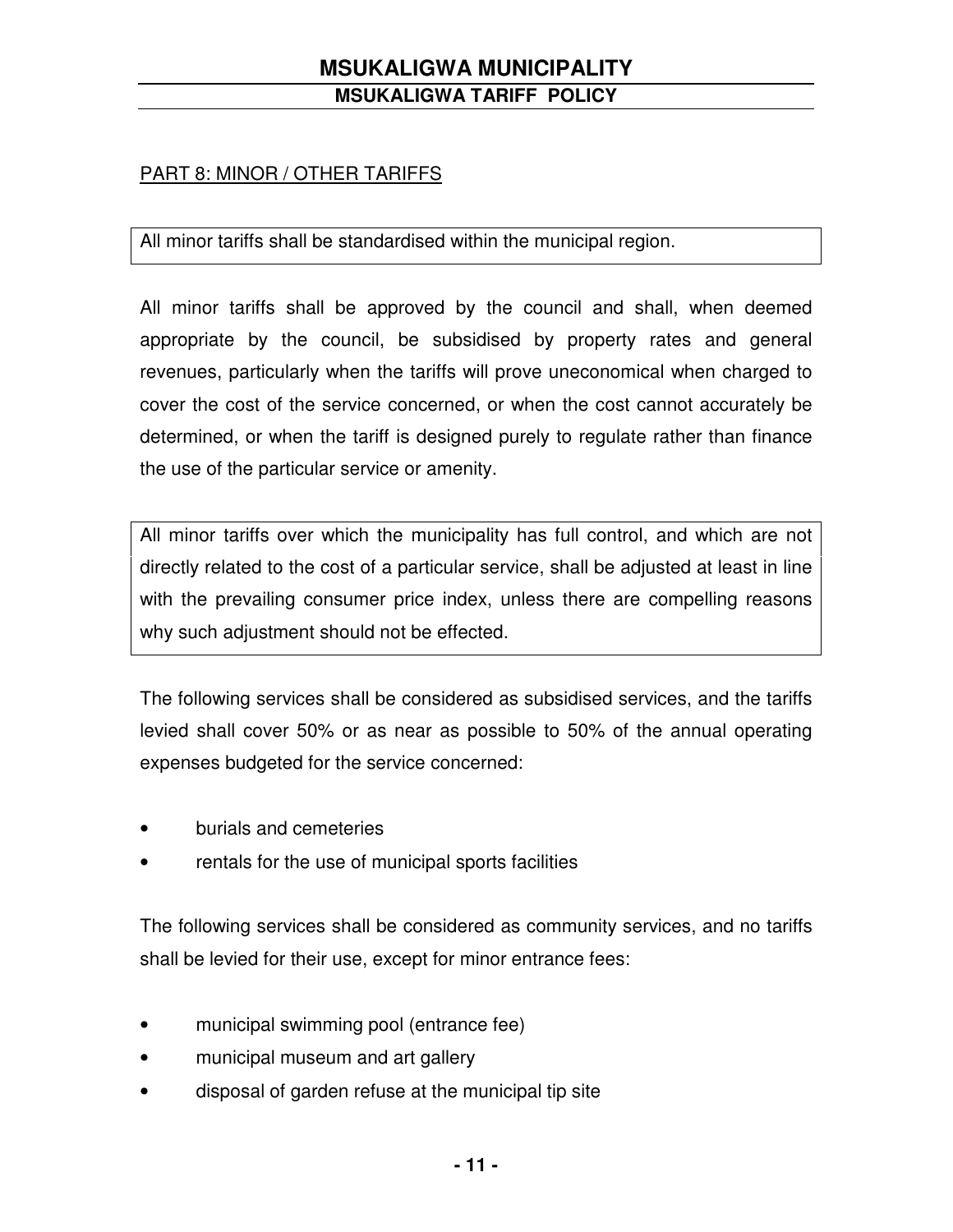#### PART 8: MINOR / OTHER TARIFFS

All minor tariffs shall be standardised within the municipal region.

All minor tariffs shall be approved by the council and shall, when deemed appropriate by the council, be subsidised by property rates and general revenues, particularly when the tariffs will prove uneconomical when charged to cover the cost of the service concerned, or when the cost cannot accurately be determined, or when the tariff is designed purely to regulate rather than finance the use of the particular service or amenity.

All minor tariffs over which the municipality has full control, and which are not directly related to the cost of a particular service, shall be adjusted at least in line with the prevailing consumer price index, unless there are compelling reasons why such adjustment should not be effected.

The following services shall be considered as subsidised services, and the tariffs levied shall cover 50% or as near as possible to 50% of the annual operating expenses budgeted for the service concerned:

- burials and cemeteries
- rentals for the use of municipal sports facilities

The following services shall be considered as community services, and no tariffs shall be levied for their use, except for minor entrance fees:

- municipal swimming pool (entrance fee)
- municipal museum and art gallery
- disposal of garden refuse at the municipal tip site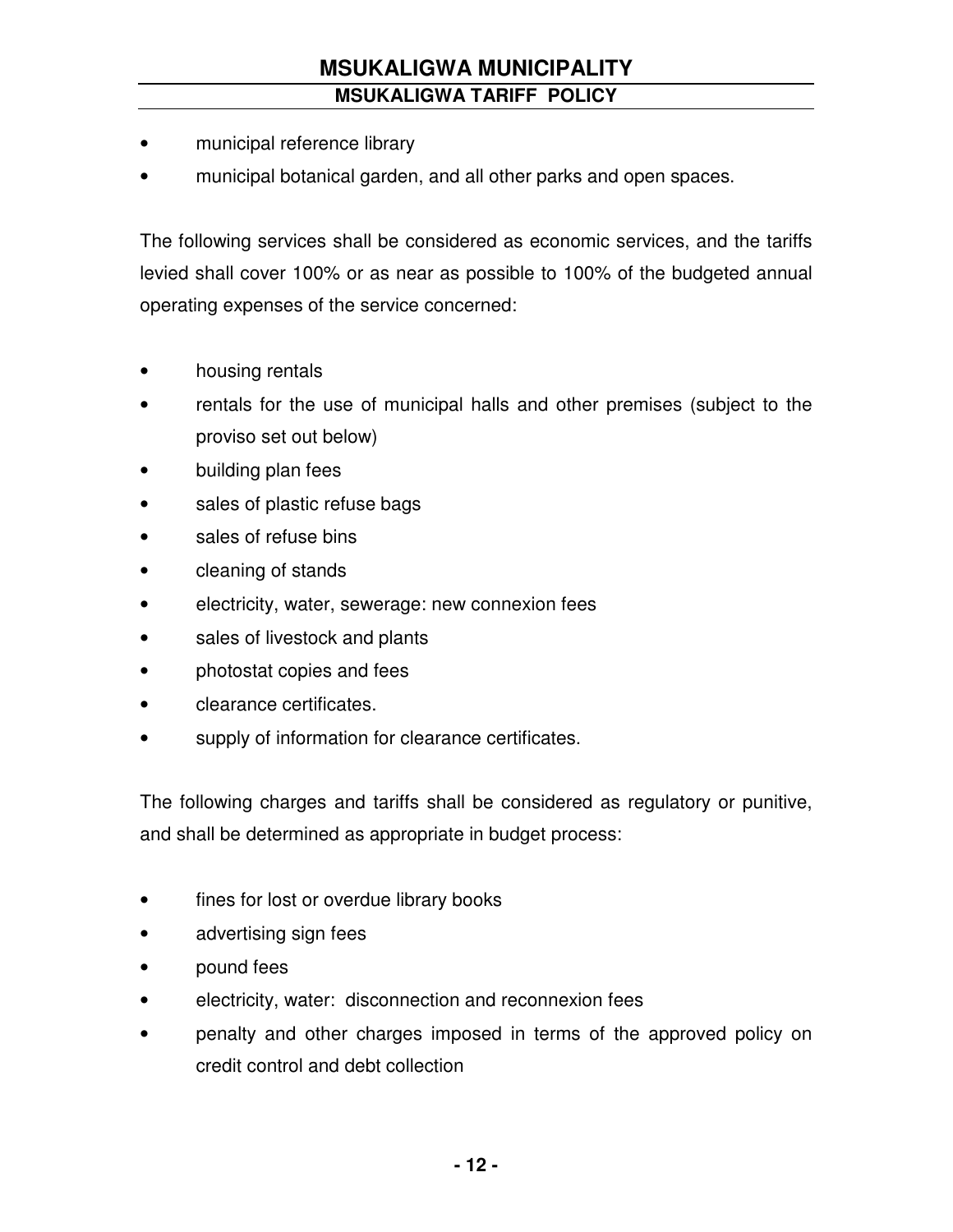- municipal reference library
- municipal botanical garden, and all other parks and open spaces.

The following services shall be considered as economic services, and the tariffs levied shall cover 100% or as near as possible to 100% of the budgeted annual operating expenses of the service concerned:

- housing rentals
- rentals for the use of municipal halls and other premises (subject to the proviso set out below)
- building plan fees
- sales of plastic refuse bags
- sales of refuse bins
- cleaning of stands
- electricity, water, sewerage: new connexion fees
- sales of livestock and plants
- photostat copies and fees
- clearance certificates.
- supply of information for clearance certificates.

The following charges and tariffs shall be considered as regulatory or punitive, and shall be determined as appropriate in budget process:

- fines for lost or overdue library books
- advertising sign fees
- pound fees
- electricity, water: disconnection and reconnexion fees
- penalty and other charges imposed in terms of the approved policy on credit control and debt collection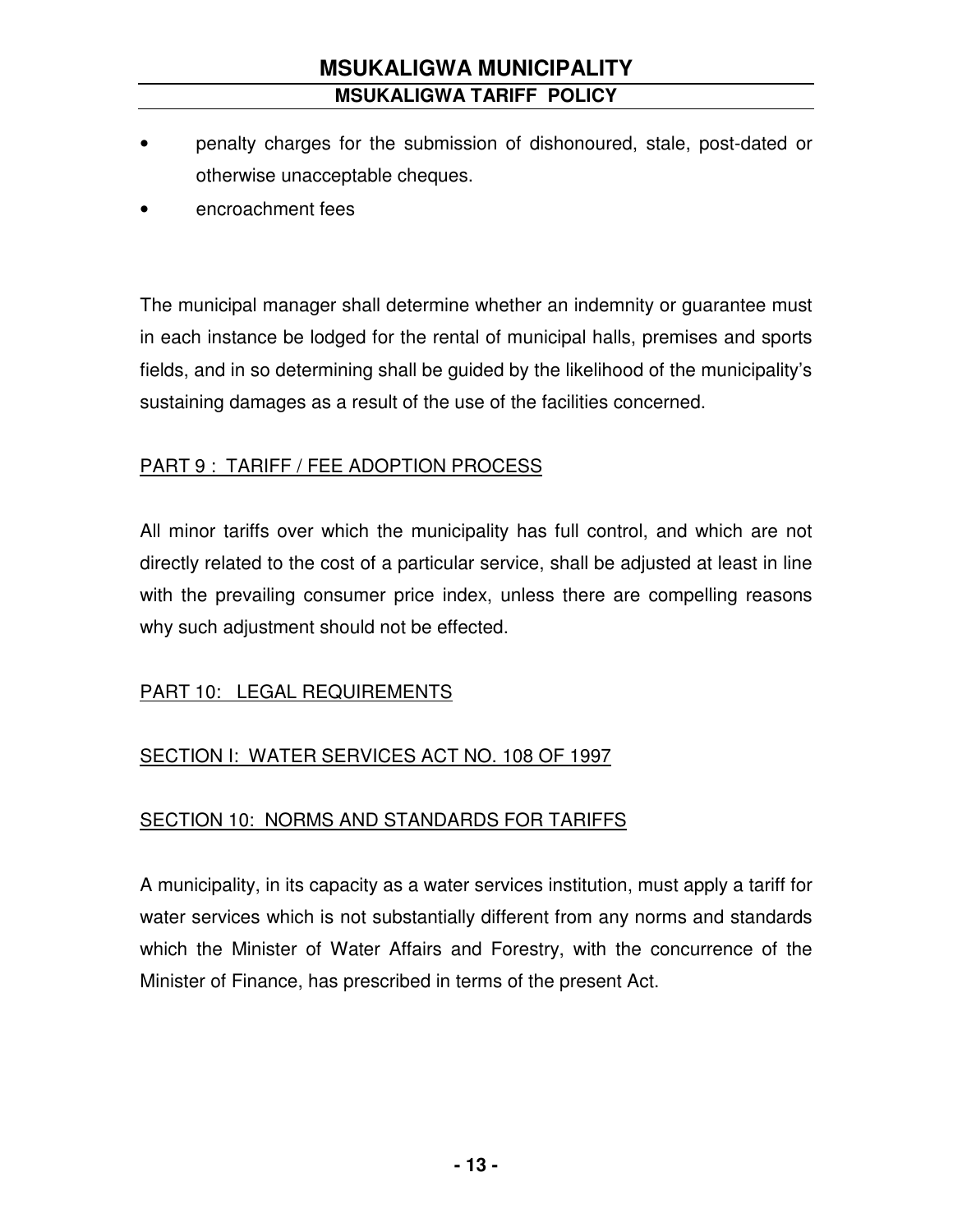- penalty charges for the submission of dishonoured, stale, post-dated or otherwise unacceptable cheques.
- encroachment fees

The municipal manager shall determine whether an indemnity or guarantee must in each instance be lodged for the rental of municipal halls, premises and sports fields, and in so determining shall be guided by the likelihood of the municipality's sustaining damages as a result of the use of the facilities concerned.

#### PART 9 : TARIFF / FEE ADOPTION PROCESS

All minor tariffs over which the municipality has full control, and which are not directly related to the cost of a particular service, shall be adjusted at least in line with the prevailing consumer price index, unless there are compelling reasons why such adjustment should not be effected.

### PART 10: LEGAL REQUIREMENTS

### SECTION I: WATER SERVICES ACT NO. 108 OF 1997

### SECTION 10: NORMS AND STANDARDS FOR TARIFFS

A municipality, in its capacity as a water services institution, must apply a tariff for water services which is not substantially different from any norms and standards which the Minister of Water Affairs and Forestry, with the concurrence of the Minister of Finance, has prescribed in terms of the present Act.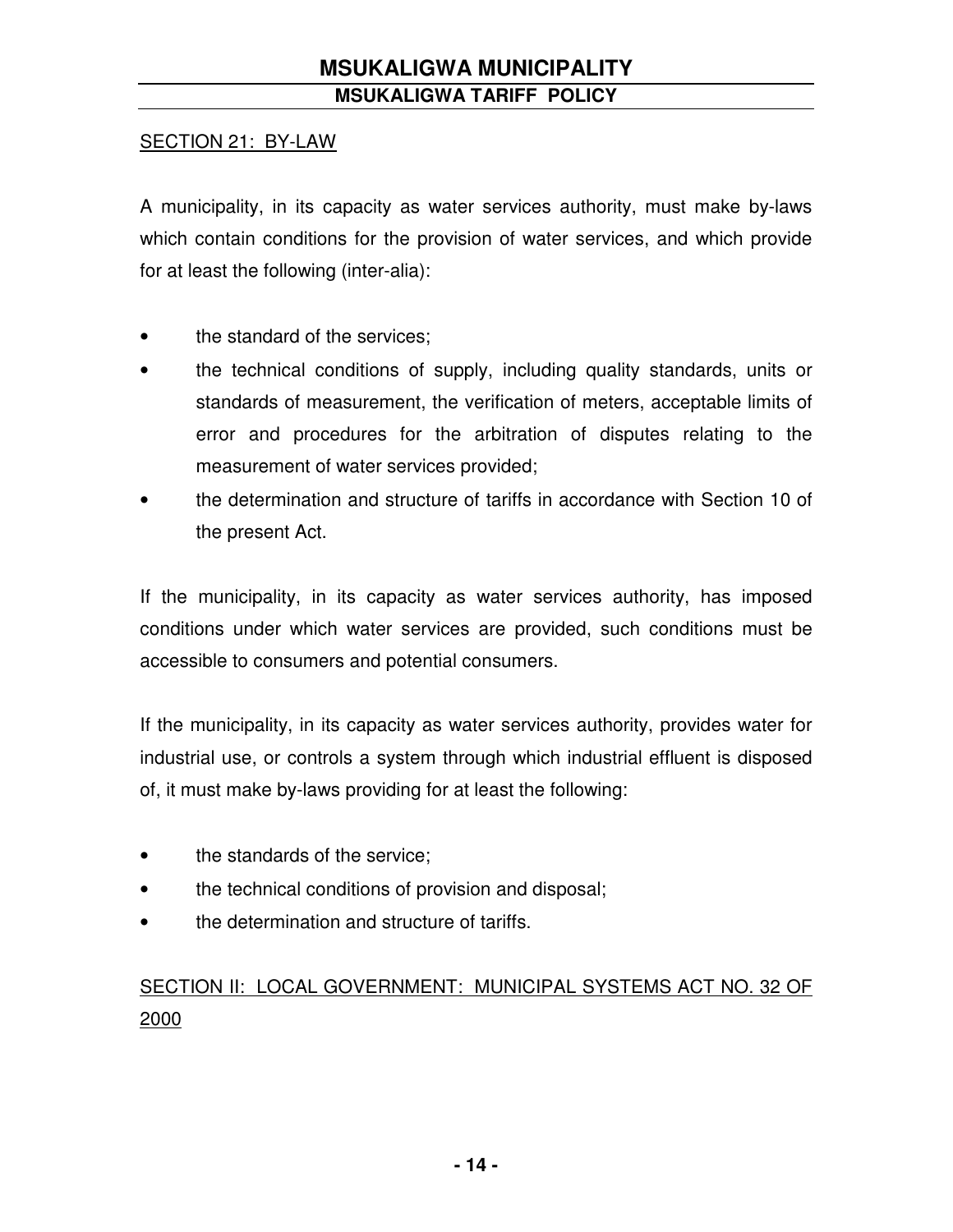#### SECTION 21: BY-LAW

A municipality, in its capacity as water services authority, must make by-laws which contain conditions for the provision of water services, and which provide for at least the following (inter-alia):

- the standard of the services;
- the technical conditions of supply, including quality standards, units or standards of measurement, the verification of meters, acceptable limits of error and procedures for the arbitration of disputes relating to the measurement of water services provided;
- the determination and structure of tariffs in accordance with Section 10 of the present Act.

If the municipality, in its capacity as water services authority, has imposed conditions under which water services are provided, such conditions must be accessible to consumers and potential consumers.

If the municipality, in its capacity as water services authority, provides water for industrial use, or controls a system through which industrial effluent is disposed of, it must make by-laws providing for at least the following:

- the standards of the service;
- the technical conditions of provision and disposal;
- the determination and structure of tariffs.

# SECTION II: LOCAL GOVERNMENT: MUNICIPAL SYSTEMS ACT NO. 32 OF 2000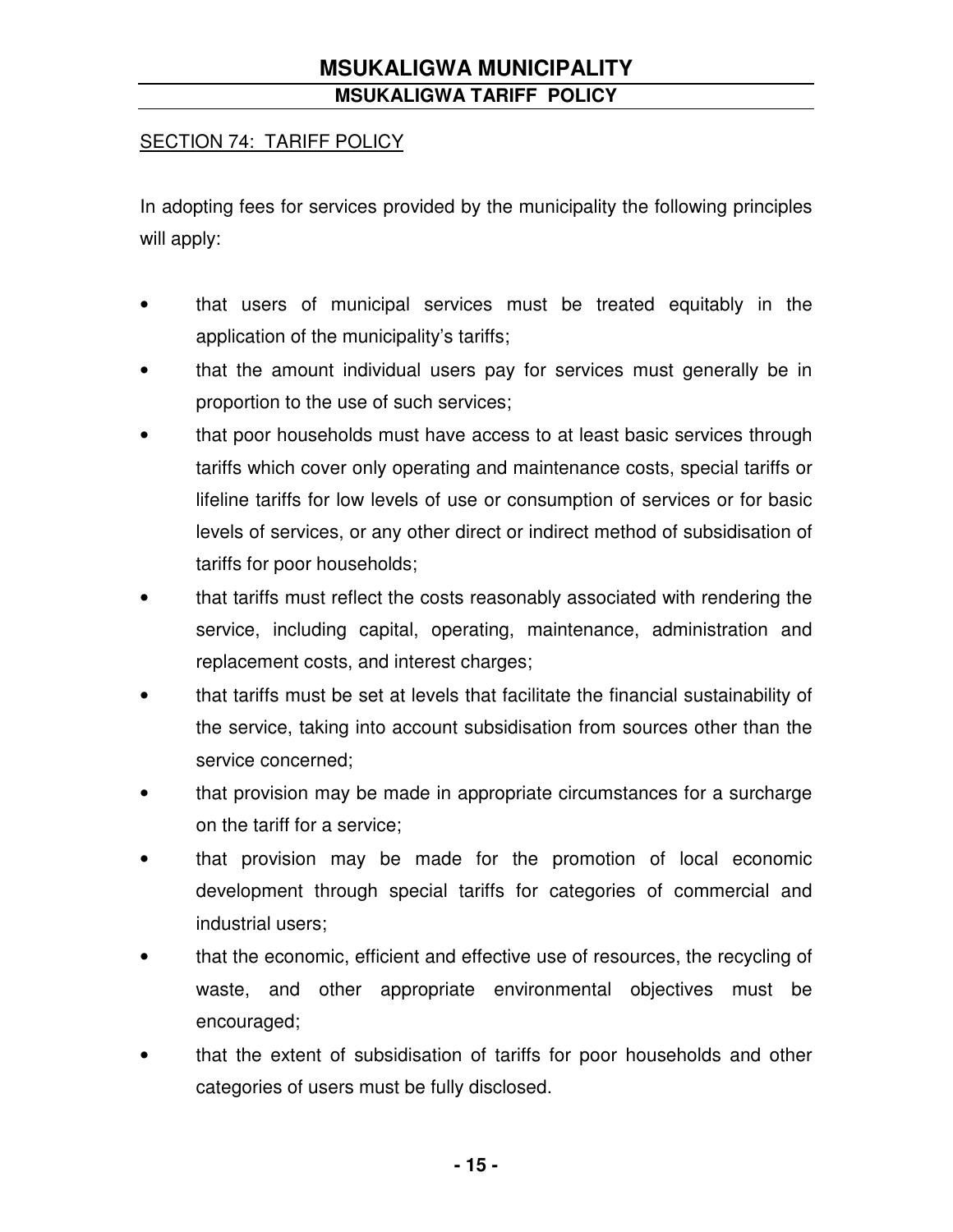#### SECTION 74: TARIFF POLICY

In adopting fees for services provided by the municipality the following principles will apply:

- that users of municipal services must be treated equitably in the application of the municipality's tariffs;
- that the amount individual users pay for services must generally be in proportion to the use of such services;
- that poor households must have access to at least basic services through tariffs which cover only operating and maintenance costs, special tariffs or lifeline tariffs for low levels of use or consumption of services or for basic levels of services, or any other direct or indirect method of subsidisation of tariffs for poor households;
- that tariffs must reflect the costs reasonably associated with rendering the service, including capital, operating, maintenance, administration and replacement costs, and interest charges;
- that tariffs must be set at levels that facilitate the financial sustainability of the service, taking into account subsidisation from sources other than the service concerned;
- that provision may be made in appropriate circumstances for a surcharge on the tariff for a service;
- that provision may be made for the promotion of local economic development through special tariffs for categories of commercial and industrial users;
- that the economic, efficient and effective use of resources, the recycling of waste, and other appropriate environmental objectives must be encouraged;
- that the extent of subsidisation of tariffs for poor households and other categories of users must be fully disclosed.